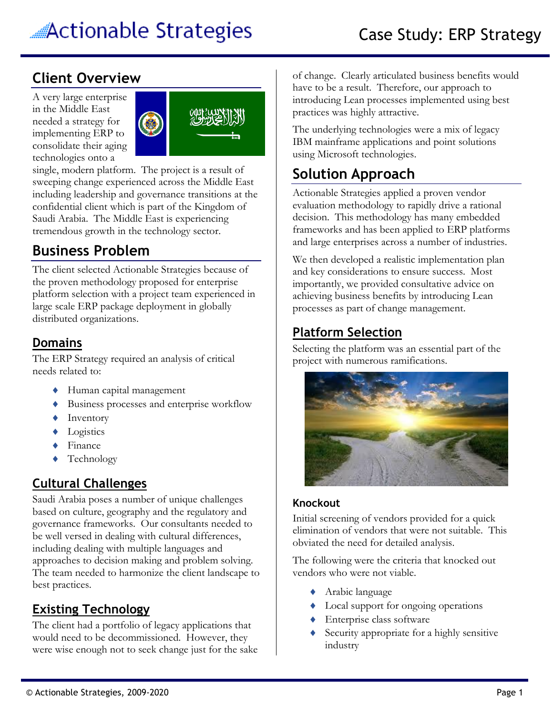## **Client Overview**

A very large enterprise in the Middle East needed a strategy for implementing ERP to consolidate their aging technologies onto a



single, modern platform. The project is a result of sweeping change experienced across the Middle East including leadership and governance transitions at the confidential client which is part of the Kingdom of Saudi Arabia. The Middle East is experiencing tremendous growth in the technology sector.

# **Business Problem**

The client selected Actionable Strategies because of the proven methodology proposed for enterprise platform selection with a project team experienced in large scale ERP package deployment in globally distributed organizations.

### **Domains**

The ERP Strategy required an analysis of critical needs related to:

- Human capital management
- Business processes and enterprise workflow
- ◆ Inventory
- **+** Logistics
- ◆ Finance
- ◆ Technology

## **Cultural Challenges**

Saudi Arabia poses a number of unique challenges based on culture, geography and the regulatory and governance frameworks. Our consultants needed to be well versed in dealing with cultural differences, including dealing with multiple languages and approaches to decision making and problem solving. The team needed to harmonize the client landscape to best practices.

## **Existing Technology**

The client had a portfolio of legacy applications that would need to be decommissioned. However, they were wise enough not to seek change just for the sake of change. Clearly articulated business benefits would have to be a result. Therefore, our approach to introducing Lean processes implemented using best practices was highly attractive.

The underlying technologies were a mix of legacy IBM mainframe applications and point solutions using Microsoft technologies.

# **Solution Approach**

Actionable Strategies applied a proven vendor evaluation methodology to rapidly drive a rational decision. This methodology has many embedded frameworks and has been applied to ERP platforms and large enterprises across a number of industries.

We then developed a realistic implementation plan and key considerations to ensure success. Most importantly, we provided consultative advice on achieving business benefits by introducing Lean processes as part of change management.

## **Platform Selection**

Selecting the platform was an essential part of the project with numerous ramifications.



### **Knockout**

Initial screening of vendors provided for a quick elimination of vendors that were not suitable. This obviated the need for detailed analysis.

The following were the criteria that knocked out vendors who were not viable.

- Arabic language
- $\triangleleft$  Local support for ongoing operations
- ◆ Enterprise class software
- Security appropriate for a highly sensitive industry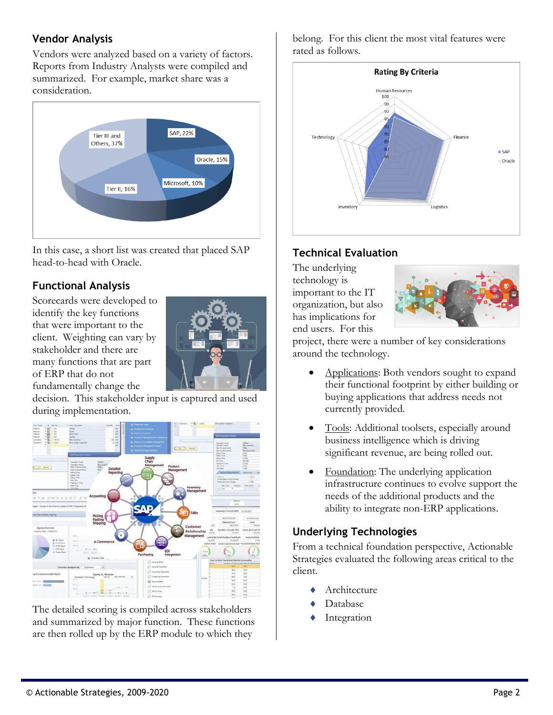#### **Vendor Analysis**

Vendors were analyzed based on a variety of factors. Reports from Industry Analysts were compiled and summarized. For example, market share was a consideration.



In this case, a short list was created that placed SAP head-to-head with Oracle.

#### **Functional Analysis**

Scorecards were developed to identify the key functions that were important to the client. Weighting can vary by stakeholder and there are many functions that are part of ERP that do not fundamentally change the



decision. This stakeholder input is captured and used during implementation.



The detailed scoring is compiled across stakeholders and summarized by major function. These functions are then rolled up by the ERP module to which they

belong. For this client the most vital features were rated as follows.



### **Technical Evaluation**

The underlying technology is important to the IT organization, but also has implications for end users. For this



project, there were a number of key considerations around the technology.

- Applications: Both vendors sought to expand their functional footprint by either building or buying applications that address needs not currently provided.
- Tools: Additional toolsets, especially around business intelligence which is driving significant revenue, are being rolled out.
- Foundation: The underlying application infrastructure continues to evolve support the needs of the additional products and the ability to integrate non-ERP applications.

#### **Underlying Technologies**

From a technical foundation perspective, Actionable Strategies evaluated the following areas critical to the client.

- Architecture
- Database
- Integration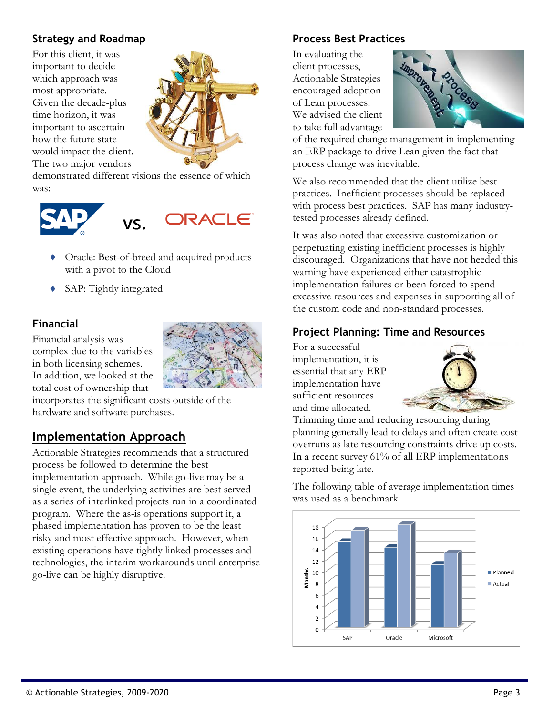### **Strategy and Roadmap**

For this client, it was important to decide which approach was most appropriate. Given the decade-plus time horizon, it was important to ascertain how the future state would impact the client. The two major vendors



demonstrated different visions the essence of which was:





- Oracle: Best-of-breed and acquired products with a pivot to the Cloud
- SAP: Tightly integrated

#### **Financial**

Financial analysis was complex due to the variables in both licensing schemes. In addition, we looked at the total cost of ownership that



incorporates the significant costs outside of the hardware and software purchases.

## **Implementation Approach**

Actionable Strategies recommends that a structured process be followed to determine the best implementation approach. While go-live may be a single event, the underlying activities are best served as a series of interlinked projects run in a coordinated program. Where the as-is operations support it, a phased implementation has proven to be the least risky and most effective approach. However, when existing operations have tightly linked processes and technologies, the interim workarounds until enterprise go-live can be highly disruptive.

#### **Process Best Practices**

In evaluating the client processes, Actionable Strategies encouraged adoption of Lean processes. We advised the client to take full advantage



of the required change management in implementing an ERP package to drive Lean given the fact that process change was inevitable.

We also recommended that the client utilize best practices. Inefficient processes should be replaced with process best practices. SAP has many industrytested processes already defined.

It was also noted that excessive customization or perpetuating existing inefficient processes is highly discouraged. Organizations that have not heeded this warning have experienced either catastrophic implementation failures or been forced to spend excessive resources and expenses in supporting all of the custom code and non-standard processes.

#### **Project Planning: Time and Resources**

For a successful implementation, it is essential that any ERP implementation have sufficient resources and time allocated.



Trimming time and reducing resourcing during planning generally lead to delays and often create cost overruns as late resourcing constraints drive up costs. In a recent survey 61% of all ERP implementations reported being late.

The following table of average implementation times was used as a benchmark.